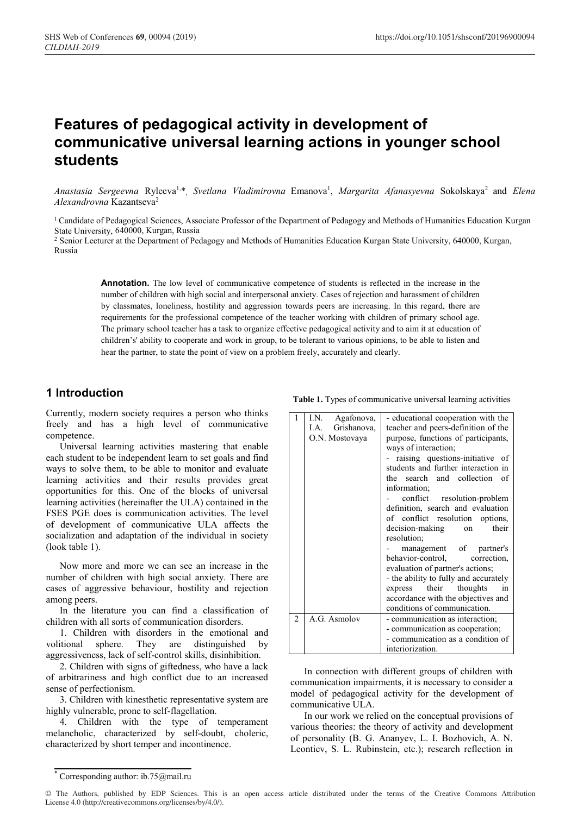# **Features of pedagogical activity in development of communicative universal learning actions in younger school students**

Anastasia Sergeevna Ryleeva<sup>1,\*</sup>, Svetlana Vladimirovna Emanova<sup>1</sup>, Margarita Afanasyevna Sokolskaya<sup>2</sup> and *Elena Alexandrovna* Kazantseva2

<sup>1</sup> Candidate of Pedagogical Sciences, Associate Professor of the Department of Pedagogy and Methods of Humanities Education Kurgan State University, 640000, Kurgan, Russia

<sup>2</sup> Senior Lecturer at the Department of Pedagogy and Methods of Humanities Education Kurgan State University, 640000, Kurgan, Russia

**Annotation.** The low level of communicative competence of students is reflected in the increase in the number of children with high social and interpersonal anxiety. Cases of rejection and harassment of children by classmates, loneliness, hostility and aggression towards peers are increasing. In this regard, there are requirements for the professional competence of the teacher working with children of primary school age. The primary school teacher has a task to organize effective pedagogical activity and to aim it at education of children's' ability to cooperate and work in group, to be tolerant to various opinions, to be able to listen and hear the partner, to state the point of view on a problem freely, accurately and clearly.

### **1 Introduction**

Currently, modern society requires a person who thinks freely and has a high level of communicative competence.

Universal learning activities mastering that enable each student to be independent learn to set goals and find ways to solve them, to be able to monitor and evaluate learning activities and their results provides great opportunities for this. One of the blocks of universal learning activities (hereinafter the ULA) contained in the FSES PGE does is communication activities. The level of development of communicative ULA affects the socialization and adaptation of the individual in society (look table 1).

Now more and more we can see an increase in the number of children with high social anxiety. There are cases of aggressive behaviour, hostility and rejection among peers.

In the literature you can find a classification of children with all sorts of communication disorders.

1. Children with disorders in the emotional and volitional sphere. They are distinguished by aggressiveness, lack of self-control skills, disinhibition.

2. Children with signs of giftedness, who have a lack of arbitrariness and high conflict due to an increased sense of perfectionism.

3. Children with kinesthetic representative system are highly vulnerable, prone to self-flagellation.

4. Children with the type of temperament melancholic, characterized by self-doubt, choleric, characterized by short temper and incontinence.

**Table 1.** Types of communicative universal learning activities

|                | I.N.<br>Agafonova,  | - educational cooperation with the    |  |  |
|----------------|---------------------|---------------------------------------|--|--|
|                | Grishanova,<br>I.A. | teacher and peers-definition of the   |  |  |
|                | O.N. Mostovaya      | purpose, functions of participants,   |  |  |
|                |                     | ways of interaction;                  |  |  |
|                |                     | raising questions-initiative of       |  |  |
|                |                     | students and further interaction in   |  |  |
|                |                     | the search and collection<br>of       |  |  |
|                |                     | information;                          |  |  |
|                |                     | conflict resolution-problem           |  |  |
|                |                     | definition, search and evaluation     |  |  |
|                |                     | of conflict resolution options,       |  |  |
|                |                     | decision-making<br>their<br>on        |  |  |
|                |                     | resolution;                           |  |  |
|                |                     | management of<br>partner's            |  |  |
|                |                     | behavior-control,<br>correction.      |  |  |
|                |                     | evaluation of partner's actions;      |  |  |
|                |                     | - the ability to fully and accurately |  |  |
|                |                     | express their thoughts<br>in          |  |  |
|                |                     | accordance with the objectives and    |  |  |
|                |                     | conditions of communication.          |  |  |
| $\overline{2}$ | A.G. Asmolov        | - communication as interaction;       |  |  |
|                |                     | - communication as cooperation;       |  |  |
|                |                     | - communication as a condition of     |  |  |
|                |                     | interiorization.                      |  |  |

In connection with different groups of children with communication impairments, it is necessary to consider a model of pedagogical activity for the development of communicative ULA.

In our work we relied on the conceptual provisions of various theories: the theory of activity and development of personality (B. G. Ananyev, L. I. Bozhovich, A. N. Leontiev, S. L. Rubinstein, etc.); research reflection in

<sup>\*</sup> Corresponding author: ib.75@mail.ru

<sup>©</sup> The Authors, published by EDP Sciences. This is an open access article distributed under the terms of the Creative Commons Attribution License 4.0 (http://creativecommons.org/licenses/by/4.0/).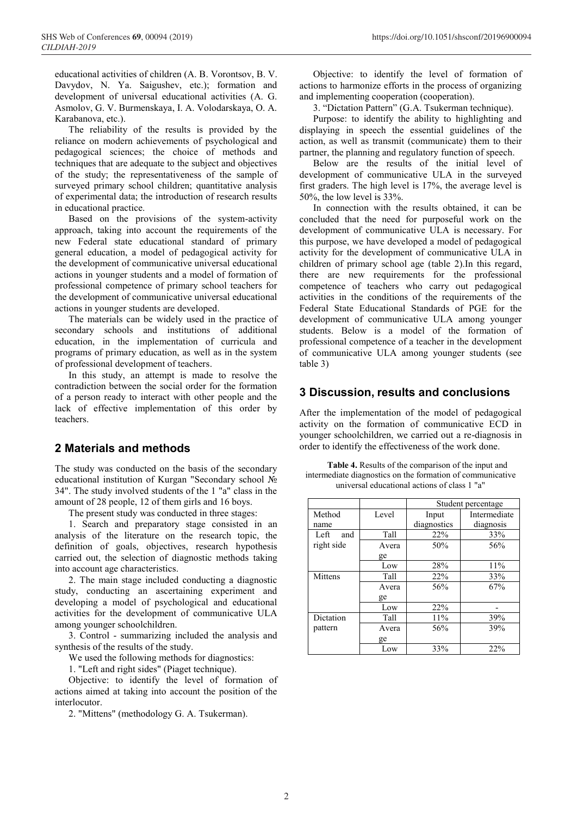educational activities of children (A. B. Vorontsov, B. V. Davydov, N. Ya. Saigushev, etc.); formation and development of universal educational activities (A. G. Asmolov, G. V. Burmenskaya, I. A. Volodarskaya, O. A. Karabanova, etc.).

The reliability of the results is provided by the reliance on modern achievements of psychological and pedagogical sciences; the choice of methods and techniques that are adequate to the subject and objectives of the study; the representativeness of the sample of surveyed primary school children; quantitative analysis of experimental data; the introduction of research results in educational practice.

Based on the provisions of the system-activity approach, taking into account the requirements of the new Federal state educational standard of primary general education, a model of pedagogical activity for the development of communicative universal educational actions in younger students and a model of formation of professional competence of primary school teachers for the development of communicative universal educational actions in younger students are developed.

The materials can be widely used in the practice of secondary schools and institutions of additional education, in the implementation of curricula and programs of primary education, as well as in the system of professional development of teachers.

In this study, an attempt is made to resolve the contradiction between the social order for the formation of a person ready to interact with other people and the lack of effective implementation of this order by teachers.

## **2 Materials and methods**

The study was conducted on the basis of the secondary educational institution of Kurgan "Secondary school  $\mathbb{N}_2$ 34". The study involved students of the 1 "a" class in the amount of 28 people, 12 of them girls and 16 boys.

The present study was conducted in three stages:

1. Search and preparatory stage consisted in an analysis of the literature on the research topic, the definition of goals, objectives, research hypothesis carried out, the selection of diagnostic methods taking into account age characteristics.

2. The main stage included conducting a diagnostic study, conducting an ascertaining experiment and developing a model of psychological and educational activities for the development of communicative ULA among younger schoolchildren.

3. Control - summarizing included the analysis and synthesis of the results of the study.

We used the following methods for diagnostics:

1. "Left and right sides" (Piaget technique).

Objective: to identify the level of formation of actions aimed at taking into account the position of the interlocutor.

2. "Mittens" (methodology G. A. Tsukerman).

Objective: to identify the level of formation of actions to harmonize efforts in the process of organizing and implementing cooperation (cooperation).

3. "Dictation Pattern" (G.A. Tsukerman technique).

Purpose: to identify the ability to highlighting and displaying in speech the essential guidelines of the action, as well as transmit (communicate) them to their partner, the planning and regulatory function of speech.

Below are the results of the initial level of development of communicative ULA in the surveyed first graders. The high level is 17%, the average level is 50%, the low level is 33%.

In connection with the results obtained, it can be concluded that the need for purposeful work on the development of communicative ULA is necessary. For this purpose, we have developed a model of pedagogical activity for the development of communicative ULA in children of primary school age (table 2).In this regard, there are new requirements for the professional competence of teachers who carry out pedagogical activities in the conditions of the requirements of the Federal State Educational Standards of PGE for the development of communicative ULA among younger students. Below is a model of the formation of professional competence of a teacher in the development of communicative ULA among younger students (see table 3)

## **3 Discussion, results and conclusions**

After the implementation of the model of pedagogical activity on the formation of communicative ECD in younger schoolchildren, we carried out a re-diagnosis in order to identify the effectiveness of the work done.

**Table 4.** Results of the comparison of the input and intermediate diagnostics on the formation of communicative universal educational actions of class 1 "a"

|             |       | Student percentage |              |  |  |
|-------------|-------|--------------------|--------------|--|--|
| Method      | Level | Input              | Intermediate |  |  |
| name        |       | diagnostics        | diagnosis    |  |  |
| Left<br>and | Tall  | 22%                | 33%          |  |  |
| right side  | Avera | 50%                | 56%          |  |  |
|             | ge    |                    |              |  |  |
|             | Low   | 28%                | 11%          |  |  |
| Mittens     | Tall  | 22%                | 33%          |  |  |
|             | Avera | 56%                | 67%          |  |  |
|             | ge    |                    |              |  |  |
|             | Low   | 22%                |              |  |  |
| Dictation   | Tall  | 11%                | 39%          |  |  |
| pattern     | Avera | 56%                | 39%          |  |  |
|             | ge    |                    |              |  |  |
|             | Low   | 33%                | 22%          |  |  |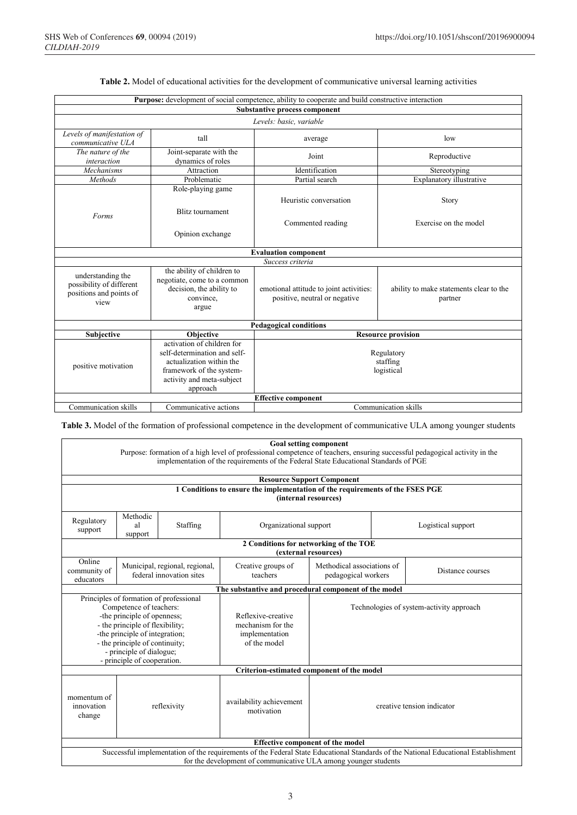| <b>Purpose:</b> development of social competence, ability to cooperate and build constructive interaction |                                                                                                                                                             |                                                                          |                                                    |  |  |  |  |  |
|-----------------------------------------------------------------------------------------------------------|-------------------------------------------------------------------------------------------------------------------------------------------------------------|--------------------------------------------------------------------------|----------------------------------------------------|--|--|--|--|--|
| Substantive process component                                                                             |                                                                                                                                                             |                                                                          |                                                    |  |  |  |  |  |
| Levels: basic. variable                                                                                   |                                                                                                                                                             |                                                                          |                                                    |  |  |  |  |  |
| Levels of manifestation of<br>communicative ULA                                                           | tall                                                                                                                                                        | average                                                                  | low                                                |  |  |  |  |  |
| Joint-separate with the<br>The nature of the<br>dynamics of roles<br>interaction                          |                                                                                                                                                             | Joint                                                                    | Reproductive                                       |  |  |  |  |  |
| Mechanisms<br>Attraction                                                                                  |                                                                                                                                                             | Identification                                                           | Stereotyping                                       |  |  |  |  |  |
| Methods                                                                                                   | Problematic                                                                                                                                                 | Partial search                                                           | Explanatory illustrative                           |  |  |  |  |  |
| Forms                                                                                                     | Role-playing game<br><b>Blitz</b> tournament<br>Opinion exchange                                                                                            | Heuristic conversation<br>Commented reading                              | <b>Story</b><br>Exercise on the model              |  |  |  |  |  |
|                                                                                                           |                                                                                                                                                             | <b>Evaluation component</b>                                              |                                                    |  |  |  |  |  |
|                                                                                                           |                                                                                                                                                             | Success criteria                                                         |                                                    |  |  |  |  |  |
| understanding the<br>possibility of different<br>positions and points of<br>view                          | the ability of children to<br>negotiate, come to a common<br>decision, the ability to<br>convince.<br>argue                                                 | emotional attitude to joint activities:<br>positive, neutral or negative | ability to make statements clear to the<br>partner |  |  |  |  |  |
| <b>Pedagogical conditions</b>                                                                             |                                                                                                                                                             |                                                                          |                                                    |  |  |  |  |  |
| Objective<br>Subjective                                                                                   |                                                                                                                                                             | <b>Resource provision</b>                                                |                                                    |  |  |  |  |  |
| positive motivation                                                                                       | activation of children for<br>self-determination and self-<br>actualization within the<br>framework of the system-<br>activity and meta-subject<br>approach | Regulatory<br>staffing<br>logistical                                     |                                                    |  |  |  |  |  |
| <b>Effective component</b>                                                                                |                                                                                                                                                             |                                                                          |                                                    |  |  |  |  |  |
| Communication skills                                                                                      | Communicative actions                                                                                                                                       |                                                                          | Communication skills                               |  |  |  |  |  |

#### **Table 2.** Model of educational activities for the development of communicative universal learning activities

**Table 3.** Model of the formation of professional competence in the development of communicative ULA among younger students

|                                                                                                                                                                                                                    | Goal setting component                                                        |                                                            |                                                       |                                                   |  |                    |  |  |  |
|--------------------------------------------------------------------------------------------------------------------------------------------------------------------------------------------------------------------|-------------------------------------------------------------------------------|------------------------------------------------------------|-------------------------------------------------------|---------------------------------------------------|--|--------------------|--|--|--|
| Purpose: formation of a high level of professional competence of teachers, ensuring successful pedagogical activity in the<br>implementation of the requirements of the Federal State Educational Standards of PGE |                                                                               |                                                            |                                                       |                                                   |  |                    |  |  |  |
|                                                                                                                                                                                                                    |                                                                               |                                                            |                                                       |                                                   |  |                    |  |  |  |
|                                                                                                                                                                                                                    |                                                                               |                                                            |                                                       | <b>Resource Support Component</b>                 |  |                    |  |  |  |
|                                                                                                                                                                                                                    | 1 Conditions to ensure the implementation of the requirements of the FSES PGE |                                                            |                                                       |                                                   |  |                    |  |  |  |
|                                                                                                                                                                                                                    | (internal resources)                                                          |                                                            |                                                       |                                                   |  |                    |  |  |  |
| Regulatory<br>support                                                                                                                                                                                              | Methodic<br>al<br>support                                                     | Staffing                                                   | Organizational support                                |                                                   |  | Logistical support |  |  |  |
| 2 Conditions for networking of the TOE<br>(external resources)                                                                                                                                                     |                                                                               |                                                            |                                                       |                                                   |  |                    |  |  |  |
| Online<br>community of<br>educators                                                                                                                                                                                |                                                                               | Municipal, regional, regional,<br>federal innovation sites | Creative groups of<br>teachers                        | Methodical associations of<br>pedagogical workers |  | Distance courses   |  |  |  |
|                                                                                                                                                                                                                    |                                                                               |                                                            | The substantive and procedural component of the model |                                                   |  |                    |  |  |  |
|                                                                                                                                                                                                                    |                                                                               | Principles of formation of professional                    |                                                       |                                                   |  |                    |  |  |  |
|                                                                                                                                                                                                                    | Competence of teachers:                                                       |                                                            |                                                       | Technologies of system-activity approach          |  |                    |  |  |  |
|                                                                                                                                                                                                                    | -the principle of openness;<br>- the principle of flexibility;                |                                                            | Reflexive-creative<br>mechanism for the               |                                                   |  |                    |  |  |  |
|                                                                                                                                                                                                                    |                                                                               |                                                            | implementation                                        |                                                   |  |                    |  |  |  |
| -the principle of integration;<br>- the principle of continuity;                                                                                                                                                   |                                                                               |                                                            | of the model                                          |                                                   |  |                    |  |  |  |
| - principle of dialogue;                                                                                                                                                                                           |                                                                               |                                                            |                                                       |                                                   |  |                    |  |  |  |
|                                                                                                                                                                                                                    | - principle of cooperation.                                                   |                                                            |                                                       |                                                   |  |                    |  |  |  |
| Criterion-estimated component of the model                                                                                                                                                                         |                                                                               |                                                            |                                                       |                                                   |  |                    |  |  |  |
| momentum of<br>innovation<br>reflexivity<br>change                                                                                                                                                                 |                                                                               | availability achievement<br>motivation                     | creative tension indicator                            |                                                   |  |                    |  |  |  |
| <b>Effective component of the model</b>                                                                                                                                                                            |                                                                               |                                                            |                                                       |                                                   |  |                    |  |  |  |
| Successful implementation of the requirements of the Federal State Educational Standards of the National Educational Establishment                                                                                 |                                                                               |                                                            |                                                       |                                                   |  |                    |  |  |  |
| for the development of communicative ULA among younger students                                                                                                                                                    |                                                                               |                                                            |                                                       |                                                   |  |                    |  |  |  |